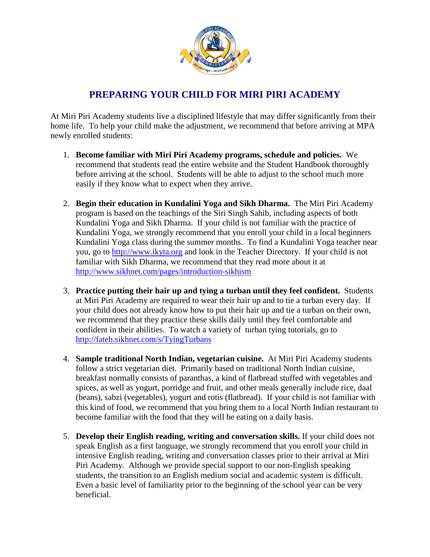

## **PREPARING YOUR CHILD FOR MIRI PIRI ACADEMY**

At Miri Piri Academy students live a disciplined lifestyle that may differ significantly from their home life. To help your child make the adjustment, we recommend that before arriving at MPA newly enrolled students:

- 1. **Become familiar with Miri Piri Academy programs, schedule and policies.** We recommend that students read the entire website and the Student Handbook thoroughly before arriving at the school. Students will be able to adjust to the school much more easily if they know what to expect when they arrive.
- 2. **Begin their education in Kundalini Yoga and Sikh Dharma.** The Miri Piri Academy program is based on the teachings of the Siri Singh Sahib, including aspects of both Kundalini Yoga and Sikh Dharma. If your child is not familiar with the practice of Kundalini Yoga, we strongly recommend that you enroll your child in a local beginners Kundalini Yoga class during the summer months. To find a Kundalini Yoga teacher near you, go to http://www.ikyta.org and look in the Teacher Directory. If your child is not familiar with Sikh Dharma, we recommend that they read more about it at http://www.sikhnet.com/pages/introduction-sikhism
- 3. **Practice putting their hair up and tying a turban until they feel confident.** Students at Miri Piri Academy are required to wear their hair up and to tie a turban every day. If your child does not already know how to put their hair up and tie a turban on their own, we recommend that they practice these skills daily until they feel comfortable and confident in their abilities. To watch a variety of turban tying tutorials, go to http://fateh.sikhnet.com/s/TyingTurbans
- 4. **Sample traditional North Indian, vegetarian cuisine.** At Miri Piri Academy students follow a strict vegetarian diet. Primarily based on traditional North Indian cuisine, breakfast normally consists of paranthas, a kind of flatbread stuffed with vegetables and spices, as well as yogurt, porridge and fruit, and other meals generally include rice, daal (beans), sabzi (vegetables), yogurt and rotis (flatbread). If your child is not familiar with this kind of food, we recommend that you bring them to a local North Indian restaurant to become familiar with the food that they will be eating on a daily basis.
- 5. **Develop their English reading, writing and conversation skills.** If your child does not speak English as a first language, we strongly recommend that you enroll your child in intensive English reading, writing and conversation classes prior to their arrival at Miri Piri Academy. Although we provide special support to our non-English speaking students, the transition to an English medium social and academic system is difficult. Even a basic level of familiarity prior to the beginning of the school year can be very beneficial.